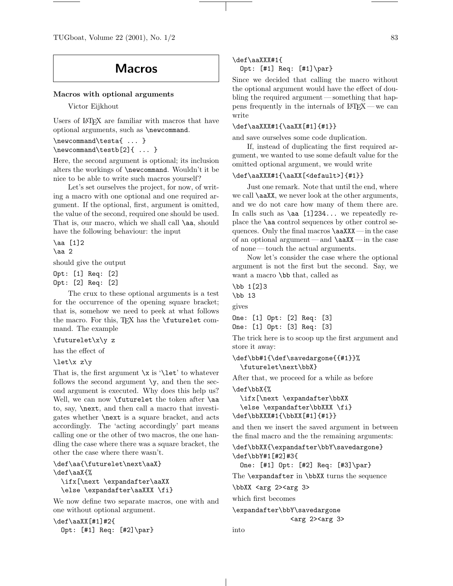TUGboat, Volume 22 (2001), No.  $1/2$  83

# Macros

#### Macros with optional arguments

Victor Eijkhout

Users of LATEX are familiar with macros that have optional arguments, such as \newcommand.

```
\newcommand\testa{ ... }
\newcommand\testb[2]{ ... }
```
Here, the second argument is optional; its inclusion alters the workings of \newcommand. Wouldn't it be nice to be able to write such macros yourself?

Let's set ourselves the project, for now, of writing a macro with one optional and one required argument. If the optional, first, argument is omitted, the value of the second, required one should be used. That is, our macro, which we shall call \aa, should have the following behaviour: the input

\aa [1]2

\aa 2

should give the output

Opt: [1] Req: [2] Opt: [2] Req: [2]

The crux to these optional arguments is a test for the occurrence of the opening square bracket; that is, somehow we need to peek at what follows the macro. For this, TFX has the  $\$ futurelet command. The example

\futurelet\x\y z

has the effect of

```
\let\x z\y
```
That is, the first argument  $\x$  is ' $\let'$  to whatever follows the second argument  $\y$ , and then the second argument is executed. Why does this help us? Well, we can now **\futurelet** the token after **\aa** to, say, \next, and then call a macro that investigates whether \next is a square bracket, and acts accordingly. The 'acting accordingly' part means calling one or the other of two macros, the one handling the case where there was a square bracket, the other the case where there wasn't.

\def\aa{\futurelet\next\aaX} \def\aaX{% \ifx[\next \expandafter\aaXX \else \expandafter\aaXXX \fi}

We now define two separate macros, one with and one without optional argument.

\def\aaXX[#1]#2{ Opt: [#1] Req: [#2]\par} \def\aaXXX#1{

## Opt: [#1] Req: [#1]\par}

Since we decided that calling the macro without the optional argument would have the effect of doubling the required argument — something that happens frequently in the internals of  $\text{LATEX}$  — we can write

## \def\aaXXX#1{\aaXX[#1]{#1}}

and save ourselves some code duplication.

If, instead of duplicating the first required argument, we wanted to use some default value for the omitted optional argument, we would write

## \def\aaXXX#1{\aaXX[<default>]{#1}}

Just one remark. Note that until the end, where we call \aaXX, we never look at the other arguments, and we do not care how many of them there are. In calls such as  $\aa$  [1]234... we repeatedly replace the \aa control sequences by other control sequences. Only the final macros \aaXXX— in the case of an optional argument—and  $\a$ xX—in the case of none — touch the actual arguments.

Now let's consider the case where the optional argument is not the first but the second. Say, we want a macro \bb that, called as

\bb 1[2]3 \bb 13

gives

One: [1] Opt: [2] Req: [3] One: [1] Opt: [3] Req: [3]

The trick here is to scoop up the first argument and store it away:

```
\def\bb#1{\def\savedargone{{#1}}%
  \futurelet\next\bbX}
```
After that, we proceed for a while as before

\def\bbX{% \ifx[\next \expandafter\bbXX \else \expandafter\bbXXX \fi}

\def\bbXXX#1{\bbXX[#1]{#1}}

and then we insert the saved argument in between the final macro and the the remaining arguments:

```
\def\bbXX{\expandafter\bbY\savedargone}
\def\bbY#1[#2]#3{
```
One: [#1] Opt: [#2] Req: [#3]\par}

The **\expandafter** in **\bbXX** turns the sequence

\bbXX <arg 2><arg 3>

which first becomes

\expandafter\bbY\savedargone <arg 2><arg 3>

```
into
```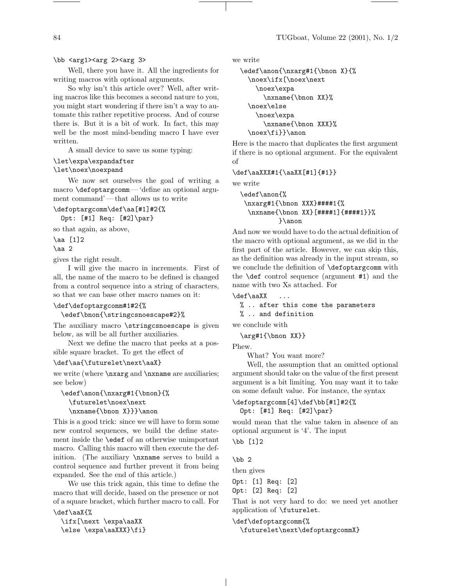## \bb <arg1><arg 2><arg 3>

Well, there you have it. All the ingredients for writing macros with optional arguments.

So why isn't this article over? Well, after writing macros like this becomes a second nature to you, you might start wondering if there isn't a way to automate this rather repetitive process. And of course there is. But it is a bit of work. In fact, this may well be the most mind-bending macro I have ever written.

A small device to save us some typing:

#### \let\expa\expandafter

\let\noex\noexpand

We now set ourselves the goal of writing a macro \defoptargcomm— 'define an optional argument command'— that allows us to write

\defoptargcomm\def\aa[#1]#2{% Opt: [#1] Req: [#2]\par}

so that again, as above,

\aa [1]2

\aa 2

gives the right result.

I will give the macro in increments. First of all, the name of the macro to be defined is changed from a control sequence into a string of characters, so that we can base other macro names on it:

# \def\defoptargcomm#1#2{%

\edef\bnon{\stringcsnoescape#2}%

The auxiliary macro \stringcsnoescape is given below, as will be all further auxiliaries.

Next we define the macro that peeks at a possible square bracket. To get the effect of

#### \def\aa{\futurelet\next\aaX}

we write (where  $\nabla xarg$  and  $\nabla xarg$  are auxiliaries; see below)

```
\edef\anon{\nxarg#1{\bnon}{%
  \futurelet\noex\next
  \maxname{\binom{X}}{\}
```
This is a good trick: since we will have to form some new control sequences, we build the define statement inside the \edef of an otherwise unimportant macro. Calling this macro will then execute the definition. (The auxiliary \nxname serves to build a control sequence and further prevent it from being expanded. See the end of this article.)

We use this trick again, this time to define the macro that will decide, based on the presence or not of a square bracket, which further macro to call. For \def\aaX{%

\ifx[\next \expa\aaXX \else \expa\aaXXX}\fi} we write

```
\edef\anon{\nxarg#1{\bnon X}{%
  \noex\ifx[\noex\next
    \noex\expa
      \nxname{\bnon XX}%
  \noex\else
    \noex\expa
      \nxname{\bnon XXX}%
  \noex\fi}}\anon
```
Here is the macro that duplicates the first argument if there is no optional argument. For the equivalent of

\def\aaXXX#1{\aaXX[#1]{#1}}

we write

```
\edef\anon{%
 \nxarg#1{\bnon XXX}####1{%
  \nxname{\bnon XX}[####1]{####1}}%
          }\anon
```
And now we would have to do the actual definition of the macro with optional argument, as we did in the first part of the article. However, we can skip this, as the definition was already in the input stream, so we conclude the definition of \defoptargcomm with the \def control sequence (argument #1) and the name with two Xs attached. For

\def\aaXX ...

```
% .. after this come the parameters
```
% .. and definition

we conclude with

```
\arg#1{\bnon XX}}
```
Phew.

What? You want more?

Well, the assumption that an omitted optional argument should take on the value of the first present argument is a bit limiting. You may want it to take on some default value. For instance, the syntax

\defoptargcomm[4]\def\bb[#1]#2{% Opt: [#1] Req: [#2]\par}

would mean that the value taken in absence of an optional argument is '4'. The input

\bb [1]2

 $\bb{b}$  2

then gives

Opt: [1] Req: [2] Opt: [2] Req: [2]

That is not very hard to do: we need yet another application of \futurelet.

\def\defoptargcomm{%

\futurelet\next\defoptargcommX}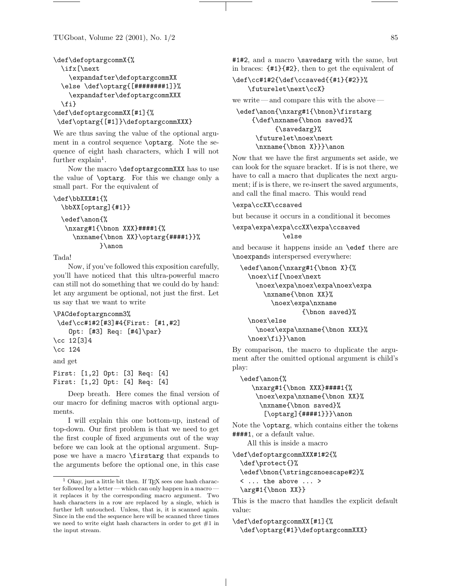TUGboat, Volume 22 (2001), No.  $1/2$  85

```
\def\defoptargcommX{%
 \ifx[\next
    \expandafter\defoptargcommXX
 \else \def\optarg{[########1]}%
    \expandafter\defoptargcommXXX
 \fi}
\def\defoptargcommXX[#1]{%
\def\optarg{[#1]}\defoptargcommXXX}
```
We are thus saving the value of the optional argument in a control sequence \optarg. Note the sequence of eight hash characters, which I will not further  $\exp$ lain<sup>1</sup>.

Now the macro \defoptargcommXXX has to use the value of \optarg. For this we change only a small part. For the equivalent of

```
\def\bbXXX#1{%
```

```
\bbXX[optarg]{#1}}
\edef\anon{%
 \nxarg#1{\bnon XXX}####1{%
   \nxname{\bnon XX}\optarg{####1}}%
          }\anon
```
Tada!

Now, if you've followed this exposition carefully, you'll have noticed that this ultra-powerful macro can still not do something that we could do by hand: let any argument be optional, not just the first. Let us say that we want to write

```
\PACdefoptargncomm3%
```

```
\def\cc#1#2[#3]#4{First: [#1,#2]
    Opt: [#3] Req: [#4]\par}
\cc 12[3]4
\cc 124
```
and get

```
First: [1,2] Opt: [3] Req: [4]
First: [1,2] Opt: [4] Req: [4]
```
Deep breath. Here comes the final version of our macro for defining macros with optional arguments.

I will explain this one bottom-up, instead of top-down. Our first problem is that we need to get the first couple of fixed arguments out of the way before we can look at the optional argument. Suppose we have a macro \firstarg that expands to the arguments before the optional one, in this case

#1#2, and a macro \savedarg with the same, but in braces: {#1}{#2}, then to get the equivalent of

\def\cc#1#2{\def\ccsaved{{#1}{#2}}% \futurelet\next\ccX}

we write — and compare this with the above —

\edef\anon{\nxarg#1{\bnon}\firstarg {\def\nxname{\bnon saved}% {\savedarg}% \futurelet\noex\next \nxname{\bnon X}}}\anon

Now that we have the first arguments set aside, we can look for the square bracket. If is is not there, we have to call a macro that duplicates the next argument; if is is there, we re-insert the saved arguments, and call the final macro. This would read

### \expa\ccXX\ccsaved

but because it occurs in a conditional it becomes

\expa\expa\expa\ccXX\expa\ccsaved \else

and because it happens inside an \edef there are \noexpands interspersed everywhere:

```
\edef\anon{\nxarg#1{\bnon X}{%
  \noex\if[\noex\next
    \noex\expa\noex\expa\noex\expa
      \nxname{\bnon XX}%
        \noex\expa\nxname
                {\bnon saved}%
  \noex\else
```
\noex\expa\nxname{\bnon XXX}% \noex\fi}}\anon

By comparison, the macro to duplicate the argument after the omitted optional argument is child's play:

```
\edef\anon{%
  \nxarg#1{\bnon XXX}####1{%
   \noex\expa\nxname{\bnon XX}%
     \nxname{\bnon saved}%
      [\optarg]{####1}}}\anon
```
Note the \optarg, which contains either the tokens ####1, or a default value.

All this is inside a macro

```
\def\defoptargcommXXX#1#2{%
  \def\protect{}%
  \edef\bnon{\stringcsnoescape#2}%
 < ... the above ... >
 \arg#1{\bnon XX}}
```
This is the macro that handles the explicit default value:

```
\def\defoptargcommXX[#1]{%
 \def\optarg{#1}\defoptargcommXXX}
```
 $1$  Okay, just a little bit then. If TEX sees one hash character followed by a letter— which can only happen in a macro it replaces it by the corresponding macro argument. Two hash characters in a row are replaced by a single, which is further left untouched. Unless, that is, it is scanned again. Since in the end the sequence here will be scanned three times we need to write eight hash characters in order to get  $#1$  in the input stream.